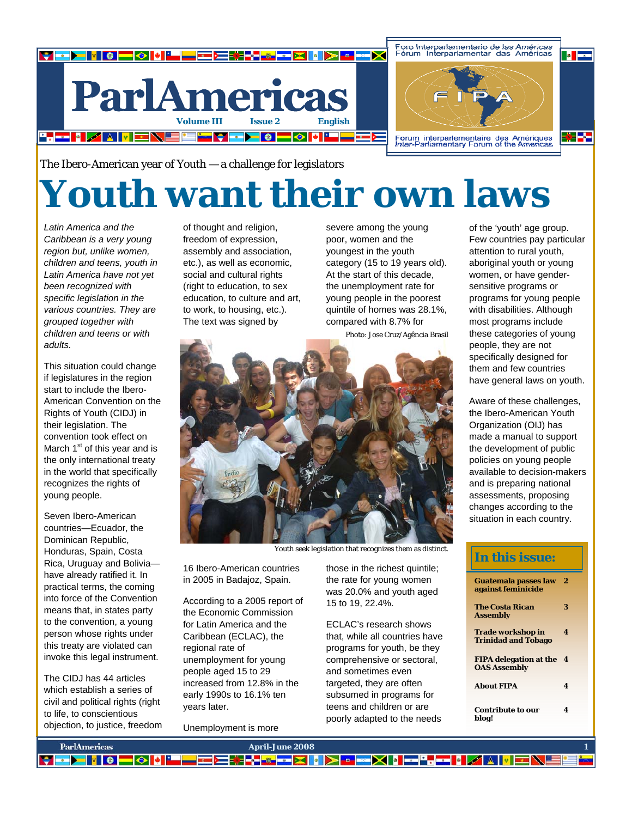

The Ibero-American year of Youth — a challenge for legislators

# **Youth want their own laws**

*Latin America and the Caribbean is a very young region but, unlike women, children and teens, youth in Latin America have not yet been recognized with specific legislation in the various countries. They are grouped together with children and teens or with adults.* 

This situation could change if legislatures in the region start to include the Ibero-American Convention on the Rights of Youth (CIDJ) in their legislation. The convention took effect on March 1<sup>st</sup> of this year and is the only international treaty in the world that specifically recognizes the rights of young people.

Seven Ibero-American countries—Ecuador, the Dominican Republic, Honduras, Spain, Costa Rica, Uruguay and Bolivia have already ratified it. In practical terms, the coming into force of the Convention means that, in states party to the convention, a young person whose rights under this treaty are violated can invoke this legal instrument.

The CIDJ has 44 articles which establish a series of civil and political rights (right to life, to conscientious objection, to justice, freedom of thought and religion, freedom of expression, assembly and association, etc.), as well as economic, social and cultural rights (right to education, to sex education, to culture and art, to work, to housing, etc.). The text was signed by

severe among the young poor, women and the youngest in the youth category (15 to 19 years old). At the start of this decade, the unemployment rate for young people in the poorest quintile of homes was 28.1%, compared with 8.7% for

Photo: Jose Cruz/Agência Brasil



Youth seek legislation that recognizes them as distinct.

16 Ibero-American countries in 2005 in Badajoz, Spain.

According to a 2005 report of the Economic Commission for Latin America and the Caribbean (ECLAC), the regional rate of unemployment for young people aged 15 to 29 increased from 12.8% in the early 1990s to 16.1% ten years later.

Unemployment is more

those in the richest quintile; the rate for young women was 20.0% and youth aged 15 to 19, 22.4%.

ECLAC's research shows that, while all countries have programs for youth, be they comprehensive or sectoral, and sometimes even targeted, they are often subsumed in programs for teens and children or are poorly adapted to the needs

of the 'youth' age group. Few countries pay particular attention to rural youth, aboriginal youth or young women, or have gendersensitive programs or programs for young people with disabilities. Although most programs include these categories of young people, they are not specifically designed for them and few countries have general laws on youth.

Aware of these challenges, the Ibero-American Youth Organization (OIJ) has made a manual to support the development of public policies on young people available to decision-makers and is preparing national assessments, proposing changes according to the situation in each country.

# **In this issue:**

| <b>Guatemala passes law</b><br>against feminicide    | 2 |
|------------------------------------------------------|---|
| <b>The Costa Rican</b><br><b>Assembly</b>            | 3 |
| Trade workshop in<br><b>Trinidad and Tobago</b>      | 4 |
| <b>FIPA delegation at the</b><br><b>OAS Assembly</b> | 4 |
| <b>About FIPA</b>                                    | 4 |
| <b>Contribute to our</b><br>blog!                    | 4 |

**ParlAmericas April-June 2008 June 2008 1** ▚<mark>▚▚▅▖▓▐▌░▏▖▅▅░▎▋</mark>▅▅<mark>▚▅▅▏▌</mark>▓▓▐▓▏ - DI 8 D 3 H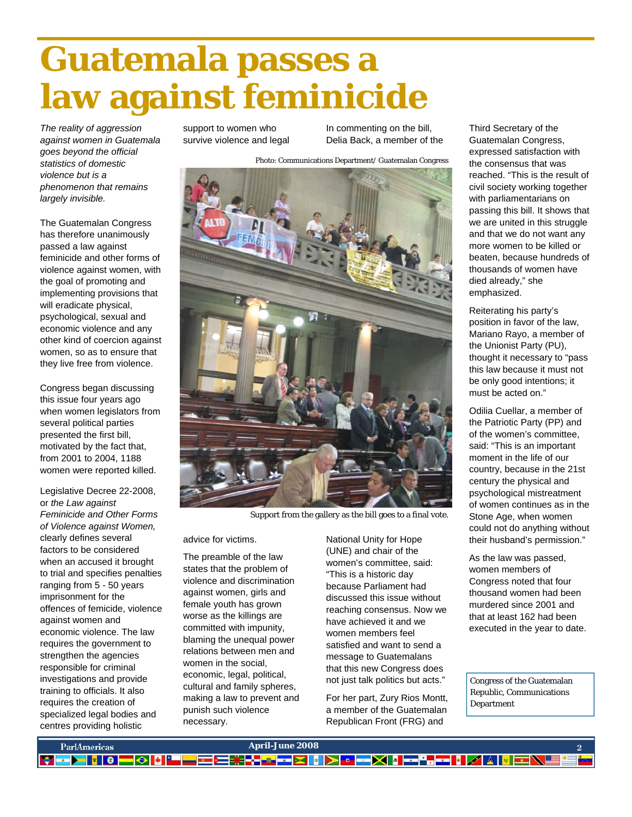# **Guatemala passes a law against feminicide**

*The reality of aggression against women in Guatemala goes beyond the official statistics of domestic violence but is a phenomenon that remains largely invisible.*

The Guatemalan Congress has therefore unanimously passed a law against feminicide and other forms of violence against women, with the goal of promoting and implementing provisions that will eradicate physical, psychological, sexual and economic violence and any other kind of coercion against women, so as to ensure that they live free from violence.

Congress began discussing this issue four years ago when women legislators from several political parties presented the first bill, motivated by the fact that, from 2001 to 2004, 1188 women were reported killed.

Legislative Decree 22-2008, or *the Law against Feminicide and Other Forms of Violence against Women,* clearly defines several factors to be considered when an accused it brought to trial and specifies penalties ranging from 5 - 50 years imprisonment for the offences of femicide, violence against women and economic violence. The law requires the government to strengthen the agencies responsible for criminal investigations and provide training to officials. It also requires the creation of specialized legal bodies and centres providing holistic

support to women who survive violence and legal In commenting on the bill, Delia Back, a member of the

Photo: Communications Department/ Guatemalan Congress



Support from the gallery as the bill goes to a final vote.

advice for victims.

The preamble of the law states that the problem of violence and discrimination against women, girls and female youth has grown worse as the killings are committed with impunity, blaming the unequal power relations between men and women in the social, economic, legal, political, cultural and family spheres, making a law to prevent and punish such violence necessary.

National Unity for Hope (UNE) and chair of the women's committee, said: "This is a historic day because Parliament had discussed this issue without reaching consensus. Now we have achieved it and we women members feel satisfied and want to send a message to Guatemalans that this new Congress does not just talk politics but acts."

For her part, Zury Rios Montt, a member of the Guatemalan Republican Front (FRG) and

Third Secretary of the Guatemalan Congress, expressed satisfaction with the consensus that was reached. "This is the result of civil society working together with parliamentarians on passing this bill. It shows that we are united in this struggle and that we do not want any more women to be killed or beaten, because hundreds of thousands of women have died already," she emphasized.

Reiterating his party's position in favor of the law, Mariano Rayo, a member of the Unionist Party (PU), thought it necessary to "pass this law because it must not be only good intentions; it must be acted on."

Odilia Cuellar, a member of the Patriotic Party (PP) and of the women's committee, said: "This is an important moment in the life of our country, because in the 21st century the physical and psychological mistreatment of women continues as in the Stone Age, when women could not do anything without their husband's permission."

As the law was passed, women members of Congress noted that four thousand women had been murdered since 2001 and that at least 162 had been executed in the year to date.

Congress of the Guatemalan Republic, Communications Department

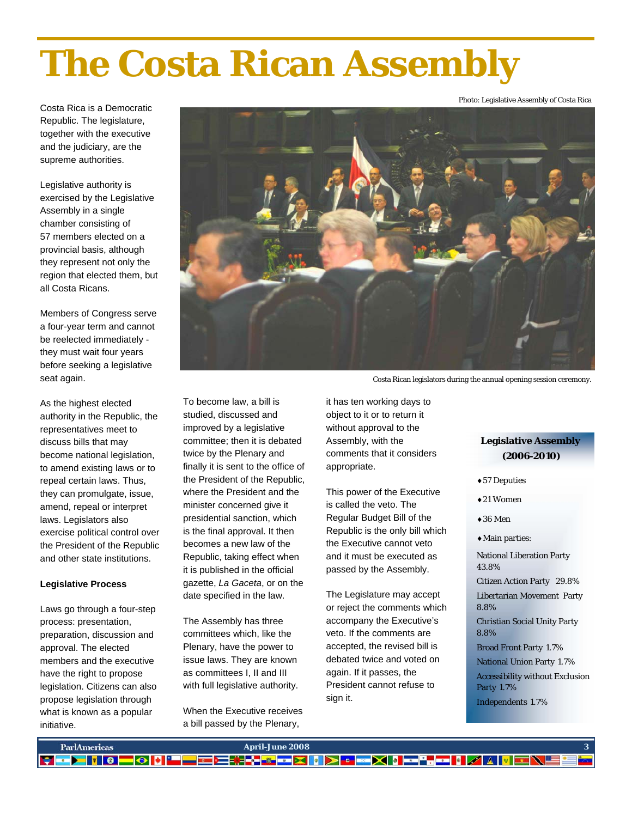# **The Costa Rican Assembly**

Costa Rica is a Democratic Republic. The legislature, together with the executive and the judiciary, are the supreme authorities.

Legislative authority is exercised by the Legislative Assembly in a single chamber consisting of 57 members elected on a provincial basis, although they represent not only the region that elected them, but all Costa Ricans.

Members of Congress serve a four-year term and cannot be reelected immediately they must wait four years before seeking a legislative seat again.

As the highest elected authority in the Republic, the representatives meet to discuss bills that may become national legislation, to amend existing laws or to repeal certain laws. Thus, they can promulgate, issue, amend, repeal or interpret laws. Legislators also exercise political control over the President of the Republic and other state institutions.

### **Legislative Process**

Laws go through a four-step process: presentation, preparation, discussion and approval. The elected members and the executive have the right to propose legislation. Citizens can also propose legislation through what is known as a popular initiative.



To become law, a bill is studied, discussed and improved by a legislative committee; then it is debated twice by the Plenary and finally it is sent to the office of the President of the Republic, where the President and the minister concerned give it presidential sanction, which is the final approval. It then becomes a new law of the Republic, taking effect when it is published in the official gazette, *La Gaceta*, or on the date specified in the law.

The Assembly has three committees which, like the Plenary, have the power to issue laws. They are known as committees I, II and III with full legislative authority.

When the Executive receives a bill passed by the Plenary,

Costa Rican legislators during the annual opening session ceremony.

it has ten working days to object to it or to return it without approval to the Assembly, with the comments that it considers appropriate.

This power of the Executive is called the veto. The Regular Budget Bill of the Republic is the only bill which the Executive cannot veto and it must be executed as passed by the Assembly.

The Legislature may accept or reject the comments which accompany the Executive's veto. If the comments are accepted, the revised bill is debated twice and voted on again. If it passes, the President cannot refuse to sign it.

# **Legislative Assembly (2006-2010)**

Photo: Legislative Assembly of Costa Rica

♦57 Deputies

♦21 Women

 $\triangle$ 36 Men

♦Main parties:

National Liberation Party 43.8%

Citizen Action Party 29.8% Libertarian Movement Party 8.8%

Christian Social Unity Party 8.8%

Broad Front Party 1.7% National Union Party 1.7% Accessibility without Exclusion Party 1.7% Independents 1.7%

**Volumen I, Número I** Página 3 **January-March 2007 3 April-June 2008 3**